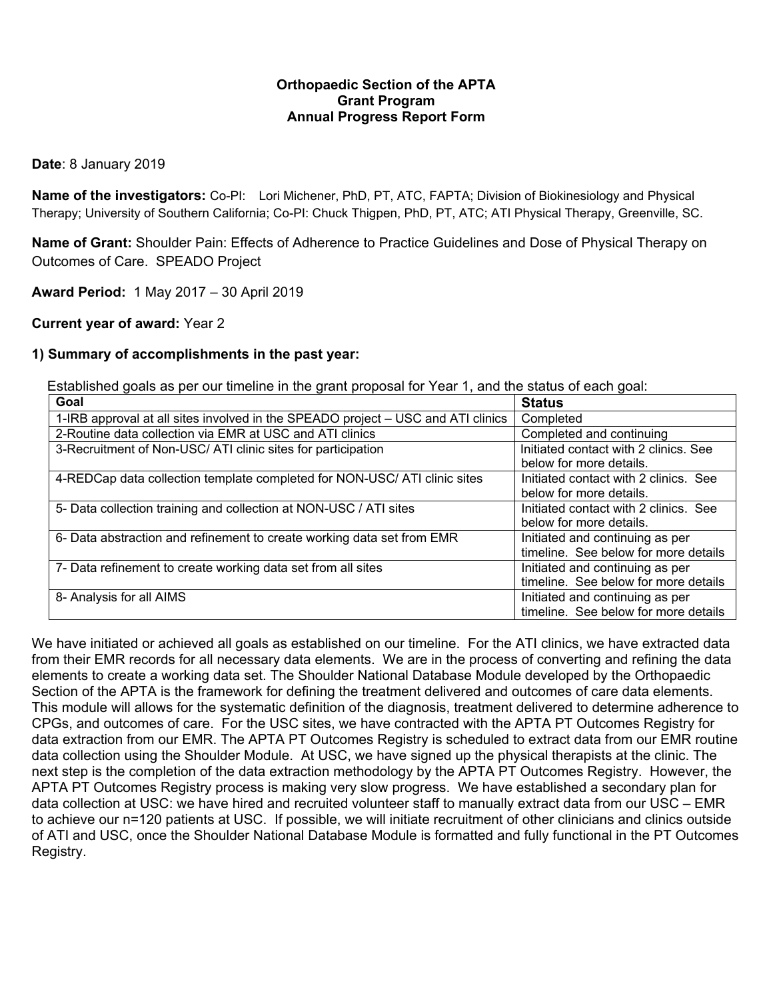## **Orthopaedic Section of the APTA Grant Program Annual Progress Report Form**

### **Date**: 8 January 2019

**Name of the investigators:** Co-PI: Lori Michener, PhD, PT, ATC, FAPTA; Division of Biokinesiology and Physical Therapy; University of Southern California; Co-PI: Chuck Thigpen, PhD, PT, ATC; ATI Physical Therapy, Greenville, SC.

**Name of Grant:** Shoulder Pain: Effects of Adherence to Practice Guidelines and Dose of Physical Therapy on Outcomes of Care. SPEADO Project

**Award Period:** 1 May 2017 – 30 April 2019

**Current year of award:** Year 2

### **1) Summary of accomplishments in the past year:**

Established goals as per our timeline in the grant proposal for Year 1, and the status of each goal:

| Goal                                                                             | <b>Status</b>                         |  |  |  |
|----------------------------------------------------------------------------------|---------------------------------------|--|--|--|
| 1-IRB approval at all sites involved in the SPEADO project – USC and ATI clinics | Completed                             |  |  |  |
| 2-Routine data collection via EMR at USC and ATI clinics                         | Completed and continuing              |  |  |  |
| 3-Recruitment of Non-USC/ ATI clinic sites for participation                     | Initiated contact with 2 clinics. See |  |  |  |
|                                                                                  | below for more details.               |  |  |  |
| 4-REDCap data collection template completed for NON-USC/ ATI clinic sites        | Initiated contact with 2 clinics. See |  |  |  |
|                                                                                  | below for more details.               |  |  |  |
| 5- Data collection training and collection at NON-USC / ATI sites                | Initiated contact with 2 clinics. See |  |  |  |
|                                                                                  | below for more details.               |  |  |  |
| 6- Data abstraction and refinement to create working data set from EMR           | Initiated and continuing as per       |  |  |  |
|                                                                                  | timeline. See below for more details  |  |  |  |
| 7- Data refinement to create working data set from all sites                     | Initiated and continuing as per       |  |  |  |
|                                                                                  | timeline. See below for more details  |  |  |  |
| 8- Analysis for all AIMS                                                         | Initiated and continuing as per       |  |  |  |
|                                                                                  | timeline. See below for more details  |  |  |  |

We have initiated or achieved all goals as established on our timeline. For the ATI clinics, we have extracted data from their EMR records for all necessary data elements. We are in the process of converting and refining the data elements to create a working data set. The Shoulder National Database Module developed by the Orthopaedic Section of the APTA is the framework for defining the treatment delivered and outcomes of care data elements. This module will allows for the systematic definition of the diagnosis, treatment delivered to determine adherence to CPGs, and outcomes of care. For the USC sites, we have contracted with the APTA PT Outcomes Registry for data extraction from our EMR. The APTA PT Outcomes Registry is scheduled to extract data from our EMR routine data collection using the Shoulder Module. At USC, we have signed up the physical therapists at the clinic. The next step is the completion of the data extraction methodology by the APTA PT Outcomes Registry. However, the APTA PT Outcomes Registry process is making very slow progress. We have established a secondary plan for data collection at USC: we have hired and recruited volunteer staff to manually extract data from our USC – EMR to achieve our n=120 patients at USC. If possible, we will initiate recruitment of other clinicians and clinics outside of ATI and USC, once the Shoulder National Database Module is formatted and fully functional in the PT Outcomes Registry.